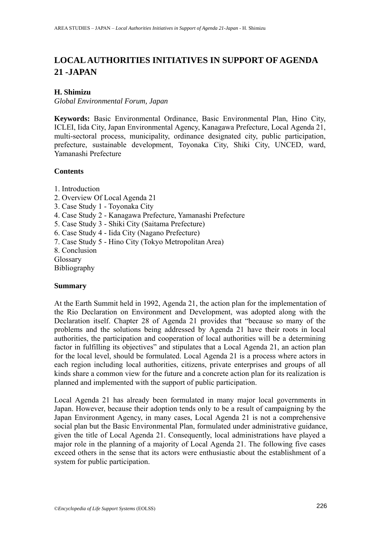# **LOCAL AUTHORITIES INITIATIVES IN SUPPORT OF AGENDA 21 -JAPAN**

#### **H. Shimizu**

*Global Environmental Forum, Japan* 

**Keywords:** Basic Environmental Ordinance, Basic Environmental Plan, Hino City, ICLEI, Iida City, Japan Environmental Agency, Kanagawa Prefecture, Local Agenda 21, multi-sectoral process, municipality, ordinance designated city, public participation, prefecture, sustainable development, Toyonaka City, Shiki City, UNCED, ward, Yamanashi Prefecture

#### **Contents**

- 1. Introduction
- 2. Overview Of Local Agenda 21
- 3. Case Study 1 Toyonaka City
- 4. Case Study 2 Kanagawa Prefecture, Yamanashi Prefecture
- 5. Case Study 3 Shiki City (Saitama Prefecture)
- 6. Case Study 4 Iida City (Nagano Prefecture)
- 7. Case Study 5 Hino City (Tokyo Metropolitan Area)
- 8. Conclusion
- Glossary

Bibliography

#### **Summary**

At the Earth Summit held in 1992, Agenda 21, the action plan for the implementation of the Rio Declaration on Environment and Development, was adopted along with the Declaration itself. Chapter 28 of Agenda 21 provides that "because so many of the problems and the solutions being addressed by Agenda 21 have their roots in local authorities, the participation and cooperation of local authorities will be a determining factor in fulfilling its objectives" and stipulates that a Local Agenda 21, an action plan for the local level, should be formulated. Local Agenda 21 is a process where actors in each region including local authorities, citizens, private enterprises and groups of all kinds share a common view for the future and a concrete action plan for its realization is planned and implemented with the support of public participation.

Local Agenda 21 has already been formulated in many major local governments in Japan. However, because their adoption tends only to be a result of campaigning by the Japan Environment Agency, in many cases, Local Agenda 21 is not a comprehensive social plan but the Basic Environmental Plan, formulated under administrative guidance, given the title of Local Agenda 21. Consequently, local administrations have played a major role in the planning of a majority of Local Agenda 21. The following five cases exceed others in the sense that its actors were enthusiastic about the establishment of a system for public participation.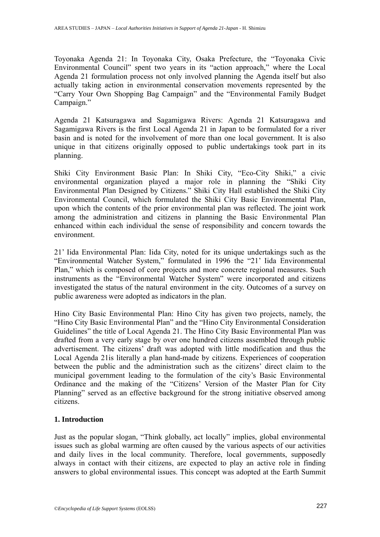Toyonaka Agenda 21: In Toyonaka City, Osaka Prefecture, the "Toyonaka Civic Environmental Council" spent two years in its "action approach," where the Local Agenda 21 formulation process not only involved planning the Agenda itself but also actually taking action in environmental conservation movements represented by the "Carry Your Own Shopping Bag Campaign" and the "Environmental Family Budget Campaign."

Agenda 21 Katsuragawa and Sagamigawa Rivers: Agenda 21 Katsuragawa and Sagamigawa Rivers is the first Local Agenda 21 in Japan to be formulated for a river basin and is noted for the involvement of more than one local government. It is also unique in that citizens originally opposed to public undertakings took part in its planning.

Shiki City Environment Basic Plan: In Shiki City, "Eco-City Shiki," a civic environmental organization played a major role in planning the "Shiki City Environmental Plan Designed by Citizens." Shiki City Hall established the Shiki City Environmental Council, which formulated the Shiki City Basic Environmental Plan, upon which the contents of the prior environmental plan was reflected. The joint work among the administration and citizens in planning the Basic Environmental Plan enhanced within each individual the sense of responsibility and concern towards the environment.

21' Iida Environmental Plan: Iida City, noted for its unique undertakings such as the "Environmental Watcher System," formulated in 1996 the "21' Iida Environmental Plan," which is composed of core projects and more concrete regional measures. Such instruments as the "Environmental Watcher System" were incorporated and citizens investigated the status of the natural environment in the city. Outcomes of a survey on public awareness were adopted as indicators in the plan.

Hino City Basic Environmental Plan: Hino City has given two projects, namely, the "Hino City Basic Environmental Plan" and the "Hino City Environmental Consideration Guidelines" the title of Local Agenda 21. The Hino City Basic Environmental Plan was drafted from a very early stage by over one hundred citizens assembled through public advertisement. The citizens' draft was adopted with little modification and thus the Local Agenda 21is literally a plan hand-made by citizens. Experiences of cooperation between the public and the administration such as the citizens' direct claim to the municipal government leading to the formulation of the city's Basic Environmental Ordinance and the making of the "Citizens' Version of the Master Plan for City Planning" served as an effective background for the strong initiative observed among citizens.

# **1. Introduction**

Just as the popular slogan, "Think globally, act locally" implies, global environmental issues such as global warming are often caused by the various aspects of our activities and daily lives in the local community. Therefore, local governments, supposedly always in contact with their citizens, are expected to play an active role in finding answers to global environmental issues. This concept was adopted at the Earth Summit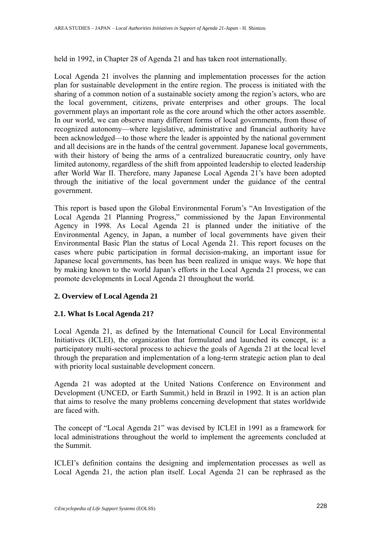held in 1992, in Chapter 28 of Agenda 21 and has taken root internationally.

Local Agenda 21 involves the planning and implementation processes for the action plan for sustainable development in the entire region. The process is initiated with the sharing of a common notion of a sustainable society among the region's actors, who are the local government, citizens, private enterprises and other groups. The local government plays an important role as the core around which the other actors assemble. In our world, we can observe many different forms of local governments, from those of recognized autonomy—where legislative, administrative and financial authority have been acknowledged—to those where the leader is appointed by the national government and all decisions are in the hands of the central government. Japanese local governments, with their history of being the arms of a centralized bureaucratic country, only have limited autonomy, regardless of the shift from appointed leadership to elected leadership after World War II. Therefore, many Japanese Local Agenda 21's have been adopted through the initiative of the local government under the guidance of the central government.

This report is based upon the Global Environmental Forum's "An Investigation of the Local Agenda 21 Planning Progress," commissioned by the Japan Environmental Agency in 1998. As Local Agenda 21 is planned under the initiative of the Environmental Agency, in Japan, a number of local governments have given their Environmental Basic Plan the status of Local Agenda 21. This report focuses on the cases where pubic participation in formal decision-making, an important issue for Japanese local governments, has been has been realized in unique ways. We hope that by making known to the world Japan's efforts in the Local Agenda 21 process, we can promote developments in Local Agenda 21 throughout the world.

# **2. Overview of Local Agenda 21**

# **2.1. What Is Local Agenda 21?**

Local Agenda 21, as defined by the International Council for Local Environmental Initiatives (ICLEI), the organization that formulated and launched its concept, is: a participatory multi-sectoral process to achieve the goals of Agenda 21 at the local level through the preparation and implementation of a long-term strategic action plan to deal with priority local sustainable development concern.

Agenda 21 was adopted at the United Nations Conference on Environment and Development (UNCED, or Earth Summit,) held in Brazil in 1992. It is an action plan that aims to resolve the many problems concerning development that states worldwide are faced with.

The concept of "Local Agenda 21" was devised by ICLEI in 1991 as a framework for local administrations throughout the world to implement the agreements concluded at the Summit.

ICLEI's definition contains the designing and implementation processes as well as Local Agenda 21, the action plan itself. Local Agenda 21 can be rephrased as the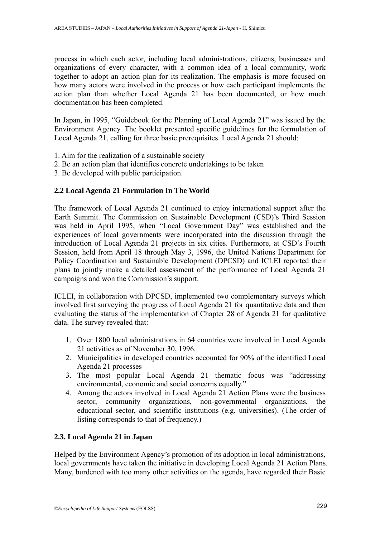process in which each actor, including local administrations, citizens, businesses and organizations of every character, with a common idea of a local community, work together to adopt an action plan for its realization. The emphasis is more focused on how many actors were involved in the process or how each participant implements the action plan than whether Local Agenda 21 has been documented, or how much documentation has been completed.

In Japan, in 1995, "Guidebook for the Planning of Local Agenda 21" was issued by the Environment Agency. The booklet presented specific guidelines for the formulation of Local Agenda 21, calling for three basic prerequisites. Local Agenda 21 should:

- 1. Aim for the realization of a sustainable society
- 2. Be an action plan that identifies concrete undertakings to be taken
- 3. Be developed with public participation.

# **2.2 Local Agenda 21 Formulation In The World**

The framework of Local Agenda 21 continued to enjoy international support after the Earth Summit. The Commission on Sustainable Development (CSD)'s Third Session was held in April 1995, when "Local Government Day" was established and the experiences of local governments were incorporated into the discussion through the introduction of Local Agenda 21 projects in six cities. Furthermore, at CSD's Fourth Session, held from April 18 through May 3, 1996, the United Nations Department for Policy Coordination and Sustainable Development (DPCSD) and ICLEI reported their plans to jointly make a detailed assessment of the performance of Local Agenda 21 campaigns and won the Commission's support.

ICLEI, in collaboration with DPCSD, implemented two complementary surveys which involved first surveying the progress of Local Agenda 21 for quantitative data and then evaluating the status of the implementation of Chapter 28 of Agenda 21 for qualitative data. The survey revealed that:

- 1. Over 1800 local administrations in 64 countries were involved in Local Agenda 21 activities as of November 30, 1996.
- 2. Municipalities in developed countries accounted for 90% of the identified Local Agenda 21 processes
- 3. The most popular Local Agenda 21 thematic focus was "addressing environmental, economic and social concerns equally."
- 4. Among the actors involved in Local Agenda 21 Action Plans were the business sector, community organizations, non-governmental organizations, the educational sector, and scientific institutions (e.g. universities). (The order of listing corresponds to that of frequency.)

# **2.3. Local Agenda 21 in Japan**

Helped by the Environment Agency's promotion of its adoption in local administrations, local governments have taken the initiative in developing Local Agenda 21 Action Plans. Many, burdened with too many other activities on the agenda, have regarded their Basic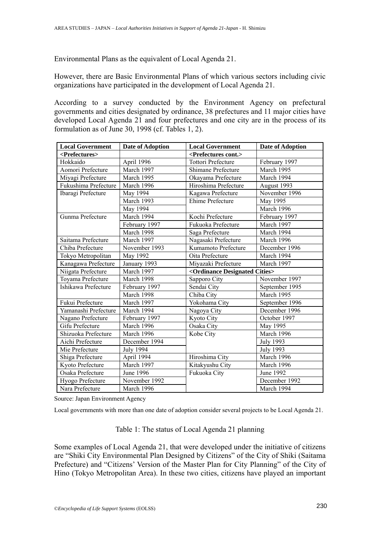Environmental Plans as the equivalent of Local Agenda 21.

However, there are Basic Environmental Plans of which various sectors including civic organizations have participated in the development of Local Agenda 21.

According to a survey conducted by the Environment Agency on prefectural governments and cities designated by ordinance, 38 prefectures and 11 major cities have developed Local Agenda 21 and four prefectures and one city are in the process of its formulation as of June 30, 1998 (cf. Tables 1, 2).

| <b>Local Government</b>     | <b>Date of Adoption</b> | <b>Local Government</b>                         | Date of Adoption |
|-----------------------------|-------------------------|-------------------------------------------------|------------------|
| <prefectures></prefectures> |                         | <prefectures cont.=""></prefectures>            |                  |
| Hokkaido                    | April 1996              | <b>Tottori Prefecture</b>                       | February 1997    |
| Aomori Prefecture           | March 1997              | Shimane Prefecture                              | March 1995       |
| Miyagi Prefecture           | March 1995              | Okayama Prefecture                              | March 1994       |
| Fukushima Prefecture        | March 1996              | Hiroshima Prefecture                            | August 1993      |
| Ibaragi Prefecture          | May 1994                | Kagawa Prefecture                               | November 1996    |
|                             | March 1993              | Ehime Prefecture                                | May 1995         |
|                             | May 1994                |                                                 | March 1996       |
| Gunma Prefecture            | March 1994              | Kochi Prefecture                                | February 1997    |
|                             | February 1997           | Fukuoka Prefecture                              | March 1997       |
|                             | March 1998              | Saga Prefecture                                 | March 1994       |
| Saitama Prefecture          | March 1997              | Nagasaki Prefecture                             | March 1996       |
| Chiba Prefecture            | November 1993           | Kumamoto Prefecture                             | December 1996    |
| Tokyo Metropolitan          | May 1992                | Oita Prefecture                                 | March 1994       |
| Kanagawa Prefecture         | January 1993            | Miyazaki Prefecture                             | March 1997       |
| Niigata Prefecture          | March 1997              | <ordinance cities="" designated=""></ordinance> |                  |
| Toyama Prefecture           | March 1998              | Sapporo City                                    | November 1997    |
| Ishikawa Prefecture         | February 1997           | Sendai City                                     | September 1995   |
|                             | March 1998              | Chiba City                                      | March 1995       |
| Fukui Prefecture            | March 1997              | Yokohama City                                   | September 1996   |
| Yamanashi Prefecture        | March 1994              | Nagoya City                                     | December 1996    |
| Nagano Prefecture           | February 1997           | Kyoto City                                      | October 1997     |
| Gifu Prefecture             | March 1996              | Osaka City                                      | May 1995         |
| Shizuoka Prefecture         | March 1996              | Kobe City                                       | March 1996       |
| Aichi Prefecture            | December 1994           |                                                 | <b>July 1993</b> |
| Mie Prefecture              | <b>July 1994</b>        |                                                 | <b>July 1993</b> |
| Shiga Prefecture            | April 1994              | Hiroshima City                                  | March 1996       |
| Kyoto Prefecture            | March 1997              | Kitakyushu City                                 | March 1996       |
| Osaka Prefecture            | June 1996               | Fukuoka City                                    | June 1992        |
| Hyogo Prefecture            | November 1992           |                                                 | December 1992    |
| Nara Prefecture             | March 1996              |                                                 | March 1994       |

Source: Japan Environment Agency

Local governments with more than one date of adoption consider several projects to be Local Agenda 21.

#### Table 1: The status of Local Agenda 21 planning

Some examples of Local Agenda 21, that were developed under the initiative of citizens are "Shiki City Environmental Plan Designed by Citizens" of the City of Shiki (Saitama Prefecture) and "Citizens' Version of the Master Plan for City Planning" of the City of Hino (Tokyo Metropolitan Area). In these two cities, citizens have played an important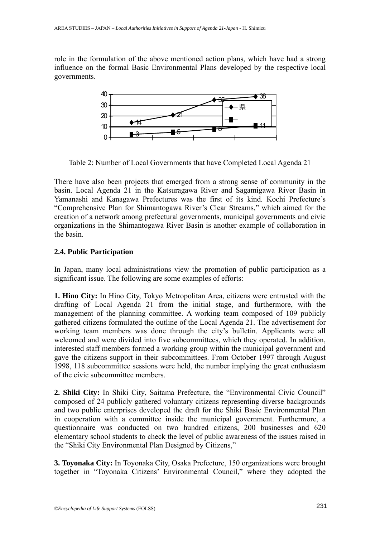role in the formulation of the above mentioned action plans, which have had a strong influence on the formal Basic Environmental Plans developed by the respective local governments.



Table 2: Number of Local Governments that have Completed Local Agenda 21

There have also been projects that emerged from a strong sense of community in the basin. Local Agenda 21 in the Katsuragawa River and Sagamigawa River Basin in Yamanashi and Kanagawa Prefectures was the first of its kind. Kochi Prefecture's "Comprehensive Plan for Shimantogawa River's Clear Streams," which aimed for the creation of a network among prefectural governments, municipal governments and civic organizations in the Shimantogawa River Basin is another example of collaboration in the basin.

# **2.4. Public Participation**

In Japan, many local administrations view the promotion of public participation as a significant issue. The following are some examples of efforts:

**1. Hino City:** In Hino City, Tokyo Metropolitan Area, citizens were entrusted with the drafting of Local Agenda 21 from the initial stage, and furthermore, with the management of the planning committee. A working team composed of 109 publicly gathered citizens formulated the outline of the Local Agenda 21. The advertisement for working team members was done through the city's bulletin. Applicants were all welcomed and were divided into five subcommittees, which they operated. In addition, interested staff members formed a working group within the municipal government and gave the citizens support in their subcommittees. From October 1997 through August 1998, 118 subcommittee sessions were held, the number implying the great enthusiasm of the civic subcommittee members.

**2. Shiki City:** In Shiki City, Saitama Prefecture, the "Environmental Civic Council" composed of 24 publicly gathered voluntary citizens representing diverse backgrounds and two public enterprises developed the draft for the Shiki Basic Environmental Plan in cooperation with a committee inside the municipal government. Furthermore, a questionnaire was conducted on two hundred citizens, 200 businesses and 620 elementary school students to check the level of public awareness of the issues raised in the "Shiki City Environmental Plan Designed by Citizens,"

**3. Toyonaka City:** In Toyonaka City, Osaka Prefecture, 150 organizations were brought together in "Toyonaka Citizens' Environmental Council," where they adopted the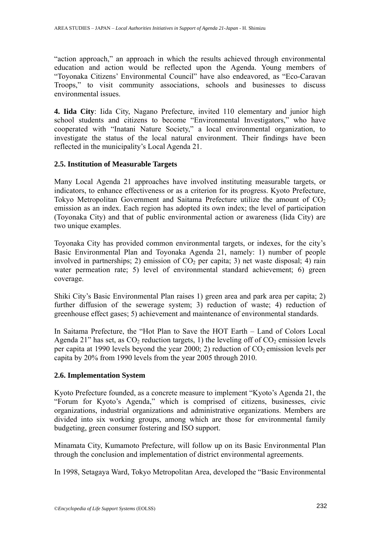"action approach," an approach in which the results achieved through environmental education and action would be reflected upon the Agenda. Young members of "Toyonaka Citizens' Environmental Council" have also endeavored, as "Eco-Caravan Troops," to visit community associations, schools and businesses to discuss environmental issues.

**4. Iida City**: Iida City, Nagano Prefecture, invited 110 elementary and junior high school students and citizens to become "Environmental Investigators," who have cooperated with "Inatani Nature Society," a local environmental organization, to investigate the status of the local natural environment. Their findings have been reflected in the municipality's Local Agenda 21.

# **2.5. Institution of Measurable Targets**

Many Local Agenda 21 approaches have involved instituting measurable targets, or indicators, to enhance effectiveness or as a criterion for its progress. Kyoto Prefecture, Tokyo Metropolitan Government and Saitama Prefecture utilize the amount of  $CO<sub>2</sub>$ emission as an index. Each region has adopted its own index; the level of participation (Toyonaka City) and that of public environmental action or awareness (Iida City) are two unique examples.

Toyonaka City has provided common environmental targets, or indexes, for the city's Basic Environmental Plan and Toyonaka Agenda 21, namely: 1) number of people involved in partnerships; 2) emission of  $CO<sub>2</sub>$  per capita; 3) net waste disposal; 4) rain water permeation rate; 5) level of environmental standard achievement; 6) green coverage.

Shiki City's Basic Environmental Plan raises 1) green area and park area per capita; 2) further diffusion of the sewerage system; 3) reduction of waste; 4) reduction of greenhouse effect gases; 5) achievement and maintenance of environmental standards.

In Saitama Prefecture, the "Hot Plan to Save the HOT Earth – Land of Colors Local Agenda 21" has set, as  $CO<sub>2</sub>$  reduction targets, 1) the leveling off of  $CO<sub>2</sub>$  emission levels per capita at 1990 levels beyond the year  $2000$ ; 2) reduction of  $CO<sub>2</sub>$  emission levels per capita by 20% from 1990 levels from the year 2005 through 2010.

# **2.6. Implementation System**

Kyoto Prefecture founded, as a concrete measure to implement "Kyoto's Agenda 21, the "Forum for Kyoto's Agenda," which is comprised of citizens, businesses, civic organizations, industrial organizations and administrative organizations. Members are divided into six working groups, among which are those for environmental family budgeting, green consumer fostering and ISO support.

Minamata City, Kumamoto Prefecture, will follow up on its Basic Environmental Plan through the conclusion and implementation of district environmental agreements.

In 1998, Setagaya Ward, Tokyo Metropolitan Area, developed the "Basic Environmental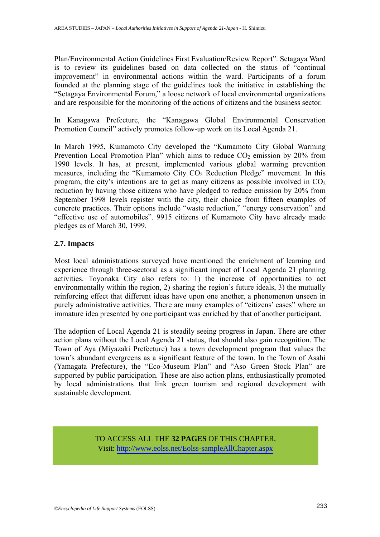Plan/Environmental Action Guidelines First Evaluation/Review Report". Setagaya Ward is to review its guidelines based on data collected on the status of "continual improvement" in environmental actions within the ward. Participants of a forum founded at the planning stage of the guidelines took the initiative in establishing the "Setagaya Environmental Forum," a loose network of local environmental organizations and are responsible for the monitoring of the actions of citizens and the business sector.

In Kanagawa Prefecture, the "Kanagawa Global Environmental Conservation Promotion Council" actively promotes follow-up work on its Local Agenda 21.

In March 1995, Kumamoto City developed the "Kumamoto City Global Warming Prevention Local Promotion Plan" which aims to reduce  $CO<sub>2</sub>$  emission by 20% from 1990 levels. It has, at present, implemented various global warming prevention measures, including the "Kumamoto City  $CO<sub>2</sub>$  Reduction Pledge" movement. In this program, the city's intentions are to get as many citizens as possible involved in  $CO<sub>2</sub>$ reduction by having those citizens who have pledged to reduce emission by 20% from September 1998 levels register with the city, their choice from fifteen examples of concrete practices. Their options include "waste reduction," "energy conservation" and "effective use of automobiles". 9915 citizens of Kumamoto City have already made pledges as of March 30, 1999.

#### **2.7. Impacts**

Most local administrations surveyed have mentioned the enrichment of learning and experience through three-sectoral as a significant impact of Local Agenda 21 planning activities. Toyonaka City also refers to: 1) the increase of opportunities to act environmentally within the region, 2) sharing the region's future ideals, 3) the mutually reinforcing effect that different ideas have upon one another, a phenomenon unseen in purely administrative activities. There are many examples of "citizens' cases" where an immature idea presented by one participant was enriched by that of another participant.

The adoption of Local Agenda 21 is steadily seeing progress in Japan. There are other action plans without the Local Agenda 21 status, that should also gain recognition. The Town of Aya (Miyazaki Prefecture) has a town development program that values the town's abundant evergreens as a significant feature of the town. In the Town of Asahi (Yamagata Prefecture), the "Eco-Museum Plan" and "Aso Green Stock Plan" are supported by public participation. These are also action plans, enthusiastically promoted by local administrations that link green tourism and regional development with sustainable development.

> TO ACCESS ALL THE **32 PAGES** OF THIS CHAPTER, V[isit: http://www.eolss.net/Eolss-sampleAllChapter.aspx](https://www.eolss.net/ebooklib/sc_cart.aspx?File=E1-57-27-00)